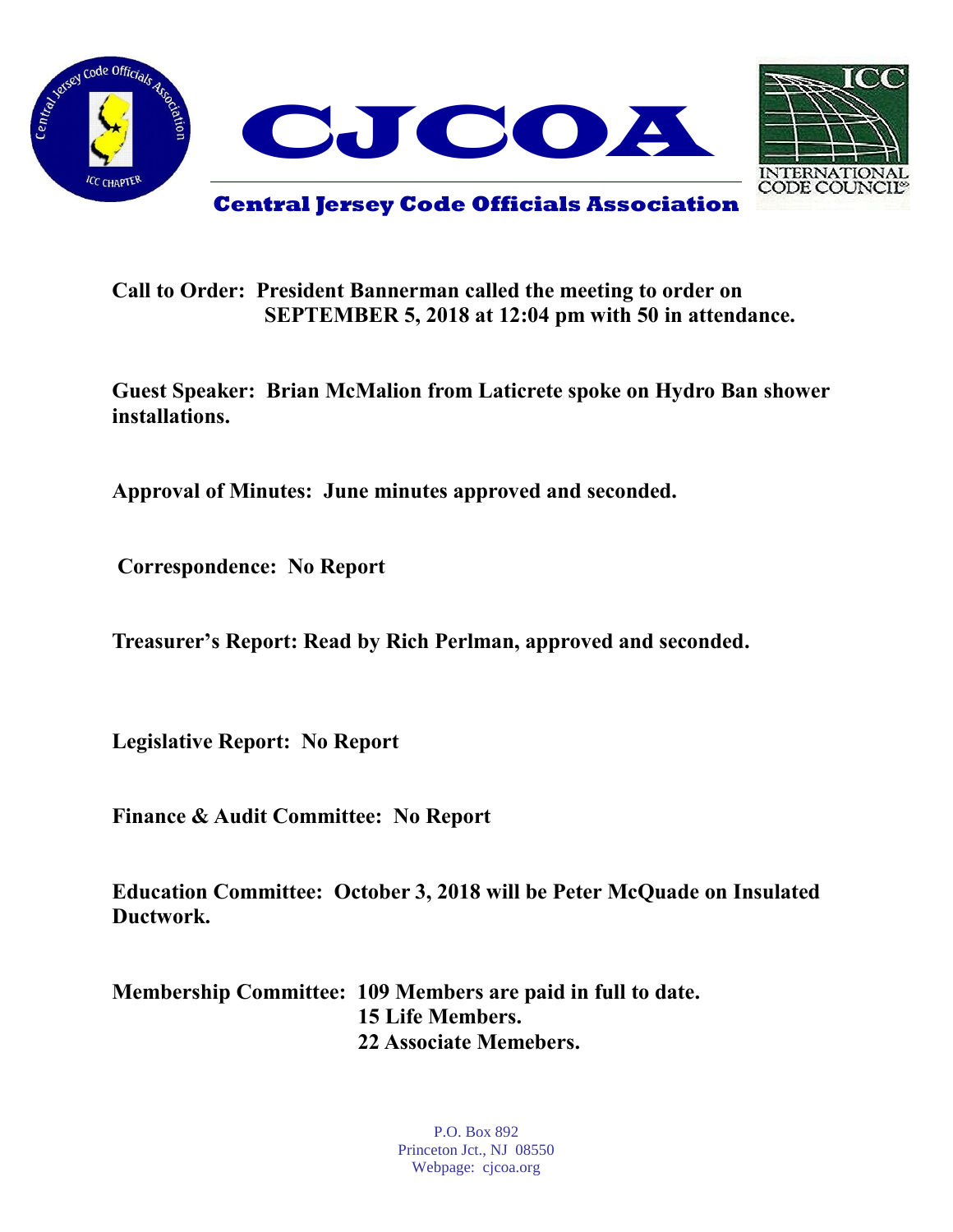



## **Call to Order: President Bannerman called the meeting to order on SEPTEMBER 5, 2018 at 12:04 pm with 50 in attendance.**

**Guest Speaker: Brian McMalion from Laticrete spoke on Hydro Ban shower installations.**

**Approval of Minutes: June minutes approved and seconded.** 

**Correspondence: No Report**

**Treasurer's Report: Read by Rich Perlman, approved and seconded.** 

**Legislative Report: No Report**

**Finance & Audit Committee: No Report**

**Education Committee: October 3, 2018 will be Peter McQuade on Insulated Ductwork.**

**Membership Committee: 109 Members are paid in full to date. 15 Life Members. 22 Associate Memebers.**

> P.O. Box 892 Princeton Jct., NJ 08550 Webpage: cjcoa.org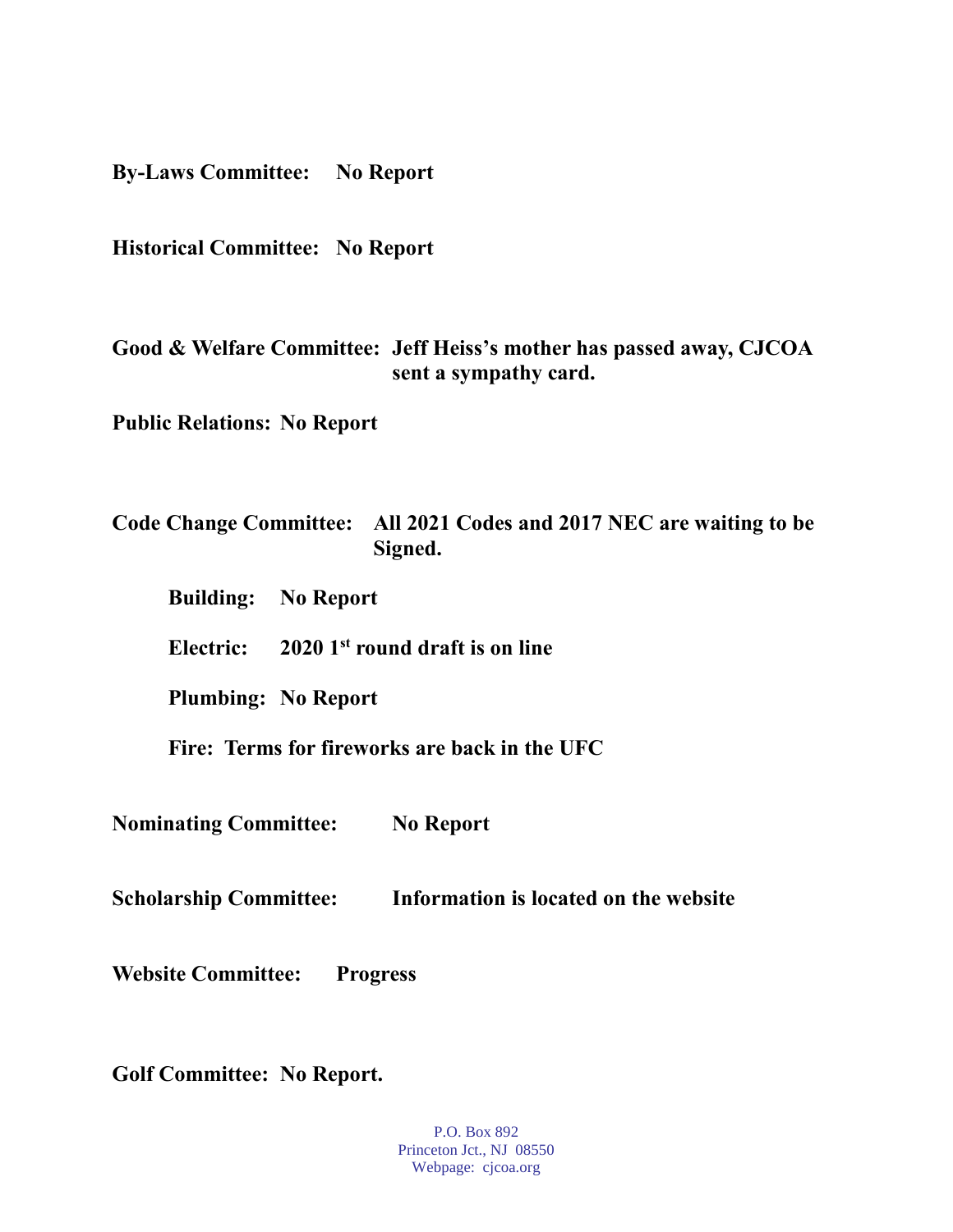**By-Laws Committee: No Report**

**Historical Committee: No Report**

**Good & Welfare Committee: Jeff Heiss's mother has passed away, CJCOA sent a sympathy card.**

**Public Relations: No Report**

## **Code Change Committee: All 2021 Codes and 2017 NEC are waiting to be Signed.**

- **Building: No Report**
- **Electric: 2020 1st round draft is on line**

**Plumbing: No Report**

**Fire: Terms for fireworks are back in the UFC**

**Nominating Committee: No Report**

**Scholarship Committee: Information is located on the website**

**Website Committee: Progress** 

**Golf Committee: No Report.**

P.O. Box 892 Princeton Jct., NJ 08550 Webpage: cjcoa.org